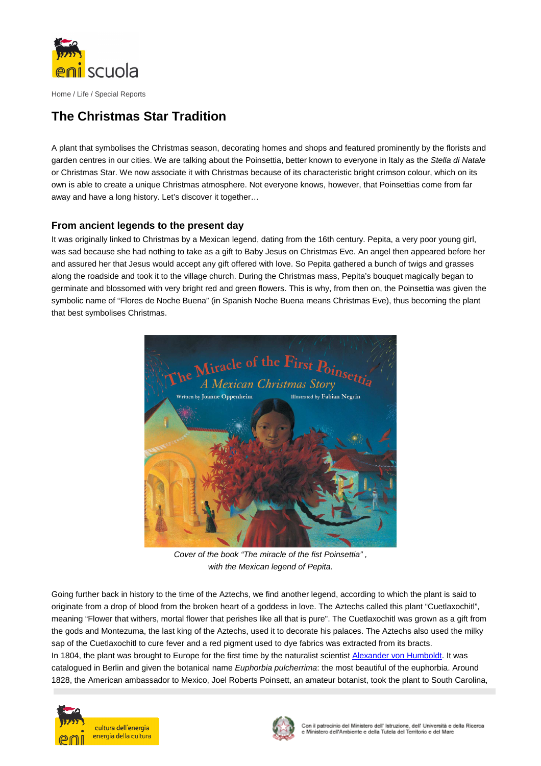

Home / Life / Special Reports

## **The Christmas Star Tradition**

A plant that symbolises the Christmas season, decorating homes and shops and featured prominently by the florists and garden centres in our cities. We are talking about the Poinsettia, better known to everyone in Italy as the Stella di Natale or Christmas Star. We now associate it with Christmas because of its characteristic bright crimson colour, which on its own is able to create a unique Christmas atmosphere. Not everyone knows, however, that Poinsettias come from far away and have a long history. Let's discover it together…

## **From ancient legends to the present day**

It was originally linked to Christmas by a Mexican legend, dating from the 16th century. Pepita, a very poor young girl, was sad because she had nothing to take as a gift to Baby Jesus on Christmas Eve. An angel then appeared before her and assured her that Jesus would accept any gift offered with love. So Pepita gathered a bunch of twigs and grasses along the roadside and took it to the village church. During the Christmas mass, Pepita's bouquet magically began to germinate and blossomed with very bright red and green flowers. This is why, from then on, the Poinsettia was given the symbolic name of "Flores de Noche Buena" (in Spanish Noche Buena means Christmas Eve), thus becoming the plant that best symbolises Christmas.



Cover of the book "The miracle of the fist Poinsettia" , with the Mexican legend of Pepita.

Going further back in history to the time of the Aztechs, we find another legend, according to which the plant is said to originate from a drop of blood from the broken heart of a goddess in love. The Aztechs called this plant "Cuetlaxochitl", meaning "Flower that withers, mortal flower that perishes like all that is pure". The Cuetlaxochitl was grown as a gift from the gods and Montezuma, the last king of the Aztechs, used it to decorate his palaces. The Aztechs also used the milky sap of the Cuetlaxochitl to cure fever and a red pigment used to dye fabrics was extracted from its bracts. In 1804, the plant was brought to Europe for the first time by the naturalist scientist Alexander von Humboldt. It was catalogued in Berlin and given the botanical name Euphorbia pulcherrima: the most beautiful of the euphorbia. Around 1828, the American ambassador to Mexico, Joel Roberts Poinsett, an amateur botanist, took the plant to South Carolina,



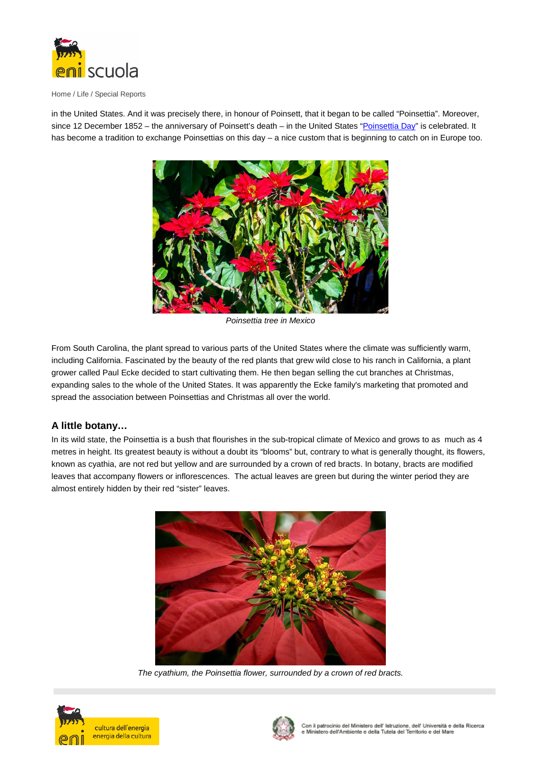

Home / Life / Special Reports

in the United States. And it was precisely there, in honour of Poinsett, that it began to be called "Poinsettia". Moreover, since 12 December 1852 – the anniversary of Poinsett's death – in the United States "Poinsettia Day" is celebrated. It has become a tradition to exchange Poinsettias on this day – a nice custom that is beginning to catch on in Europe too.



Poinsettia tree in Mexico

From South Carolina, the plant spread to various parts of the United States where the climate was sufficiently warm, including California. Fascinated by the beauty of the red plants that grew wild close to his ranch in California, a plant grower called Paul Ecke decided to start cultivating them. He then began selling the cut branches at Christmas, expanding sales to the whole of the United States. It was apparently the Ecke family's marketing that promoted and spread the association between Poinsettias and Christmas all over the world.

## **A little botany…**

In its wild state, the Poinsettia is a bush that flourishes in the sub-tropical climate of Mexico and grows to as much as 4 metres in height. Its greatest beauty is without a doubt its "blooms" but, contrary to what is generally thought, its flowers, known as cyathia, are not red but yellow and are surrounded by a crown of red bracts. In botany, bracts are modified leaves that accompany flowers or inflorescences. The actual leaves are green but during the winter period they are almost entirely hidden by their red "sister" leaves.



The cyathium, the Poinsettia flower, surrounded by a crown of red bracts.